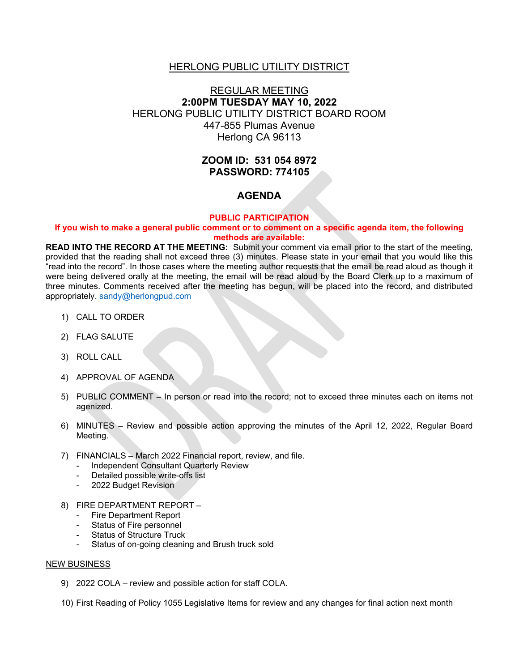### HERLONG PUBLIC UTILITY DISTRICT

# REGULAR MEETING **2:00PM TUESDAY MAY 10, 2022** HERLONG PUBLIC UTILITY DISTRICT BOARD ROOM 447-855 Plumas Avenue Herlong CA 96113

# **ZOOM ID: 531 054 8972 PASSWORD: 774105**

## **AGENDA**

#### **PUBLIC PARTICIPATION**

#### **If you wish to make a general public comment or to comment on a specific agenda item, the following methods are available:**

**READ INTO THE RECORD AT THE MEETING:** Submit your comment via email prior to the start of the meeting, provided that the reading shall not exceed three (3) minutes. Please state in your email that you would like this "read into the record". In those cases where the meeting author requests that the email be read aloud as though it were being delivered orally at the meeting, the email will be read aloud by the Board Clerk up to a maximum of three minutes. Comments received after the meeting has begun, will be placed into the record, and distributed appropriately. [sandy@herlongpud.com](mailto:sandy@herlongpud.com)

- 1) CALL TO ORDER
- 2) FLAG SALUTE
- 3) ROLL CALL
- 4) APPROVAL OF AGENDA
- 5) PUBLIC COMMENT In person or read into the record; not to exceed three minutes each on items not agenized.
- 6) MINUTES Review and possible action approving the minutes of the April 12, 2022, Regular Board Meeting.
- 7) FINANCIALS March 2022 Financial report, review, and file.
	- Independent Consultant Quarterly Review
	- Detailed possible write-offs list
	- 2022 Budget Revision
- 8) FIRE DEPARTMENT REPORT
	- Fire Department Report
	- Status of Fire personnel
	- Status of Structure Truck
	- Status of on-going cleaning and Brush truck sold

#### NEW BUSINESS

- 9) 2022 COLA review and possible action for staff COLA.
- 10) First Reading of Policy 1055 Legislative Items for review and any changes for final action next month